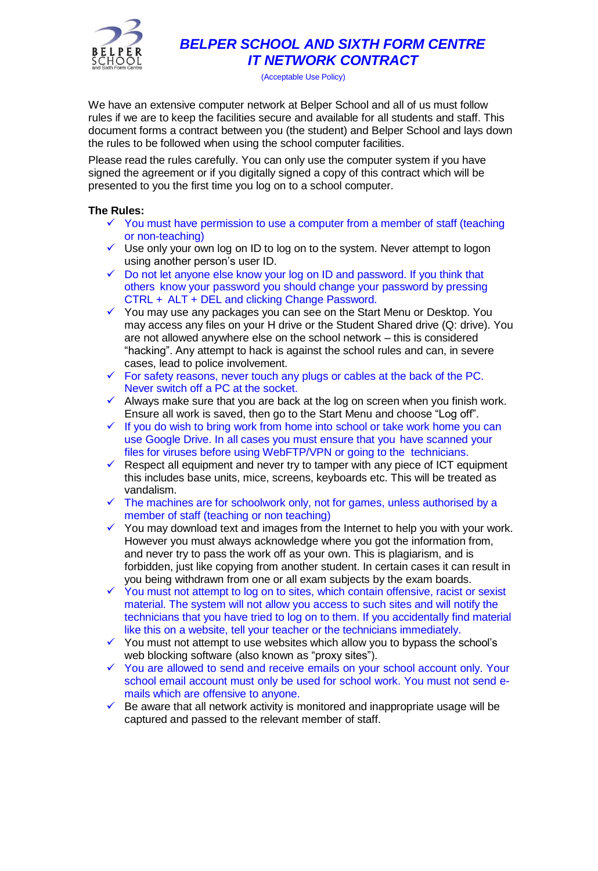

## *BELPER SCHOOL AND SIXTH FORM CENTRE IT NETWORK CONTRACT*

(Acceptable Use Policy)

We have an extensive computer network at Belper School and all of us must follow rules if we are to keep the facilities secure and available for all students and staff. This document forms a contract between you (the student) and Belper School and lays down the rules to be followed when using the school computer facilities.

Please read the rules carefully. You can only use the computer system if you have signed the agreement or if you digitally signed a copy of this contract which will be presented to you the first time you log on to a school computer.

## **The Rules:**

- $\checkmark$  You must have permission to use a computer from a member of staff (teaching or non-teaching)
- ✓ Use only your own log on ID to log on to the system. Never attempt to logon using another person's user ID.
- ✓ Do not let anyone else know your log on ID and password. If you think that others know your password you should change your password by pressing CTRL + ALT + DEL and clicking Change Password.
- ✓ You may use any packages you can see on the Start Menu or Desktop. You may access any files on your H drive or the Student Shared drive (Q: drive). You are not allowed anywhere else on the school network – this is considered "hacking". Any attempt to hack is against the school rules and can, in severe cases, lead to police involvement.
- $\checkmark$  For safety reasons, never touch any plugs or cables at the back of the PC. Never switch off a PC at the socket.
- $\checkmark$  Always make sure that you are back at the log on screen when you finish work. Ensure all work is saved, then go to the Start Menu and choose "Log off".
- $\checkmark$  If you do wish to bring work from home into school or take work home you can use Google Drive. In all cases you must ensure that you have scanned your files for viruses before using WebFTP/VPN or going to the technicians.
- $\checkmark$  Respect all equipment and never try to tamper with any piece of ICT equipment this includes base units, mice, screens, keyboards etc. This will be treated as vandalism.
- $\checkmark$  The machines are for schoolwork only, not for games, unless authorised by a member of staff (teaching or non teaching)
- ✓ You may download text and images from the Internet to help you with your work. However you must always acknowledge where you got the information from, and never try to pass the work off as your own. This is plagiarism, and is forbidden, just like copying from another student. In certain cases it can result in you being withdrawn from one or all exam subjects by the exam boards.
- ✓ You must not attempt to log on to sites, which contain offensive, racist or sexist material. The system will not allow you access to such sites and will notify the technicians that you have tried to log on to them. If you accidentally find material like this on a website, tell your teacher or the technicians immediately.
- ✓ You must not attempt to use websites which allow you to bypass the school's web blocking software (also known as "proxy sites").
- ✓ You are allowed to send and receive emails on your school account only. Your school email account must only be used for school work. You must not send emails which are offensive to anyone.
- $\checkmark$  Be aware that all network activity is monitored and inappropriate usage will be captured and passed to the relevant member of staff.